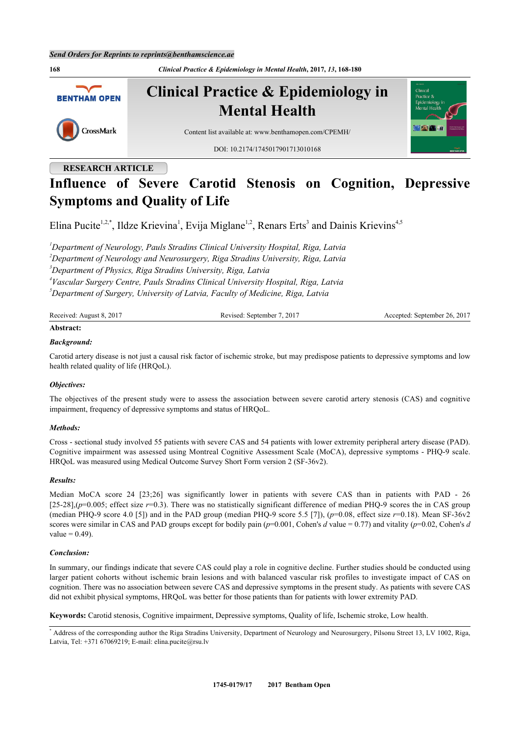**168** *Clinical Practice & Epidemiology in Mental Health***, 2017,** *13***, 168-180 Clinical Practice & Epidemiology in BENTHAM OPEN Mental Health** CrossMark Content list available at: [www.benthamopen.com/CPEMH/](http://www.benthamopen.com/CPEMH/) DOI: [10.2174/1745017901713010168](http://dx.doi.org/10.2174/1745017901713010168)

# **RESEARCH ARTICLE**

# **Influence of Severe Carotid Stenosis on Cognition, Depressive Symptoms and Quality of Life**

Elina Pucite<sup>[1](#page-0-0),[2](#page-0-1),[\\*](#page-0-2)</sup>, Ildze Krievina<sup>1</sup>, Evija Miglane<sup>1,2</sup>, Renars Erts<sup>[3](#page-0-3)</sup> and Dainis Krievins<sup>[4](#page-0-4),[5](#page-0-5)</sup>

<span id="page-0-3"></span><span id="page-0-1"></span><span id="page-0-0"></span>*Department of Neurology, Pauls Stradins Clinical University Hospital, Riga, Latvia Department of Neurology and Neurosurgery, Riga Stradins University, Riga, Latvia Department of Physics, Riga Stradins University, Riga, Latvia Vascular Surgery Centre, Pauls Stradins Clinical University Hospital, Riga, Latvia Department of Surgery, University of Latvia, Faculty of Medicine, Riga, Latvia*

<span id="page-0-5"></span><span id="page-0-4"></span>

| Received: August 8, 2017 | Revised: September 7, 2017 | Accepted: September 26, 2017 |
|--------------------------|----------------------------|------------------------------|
| .                        |                            |                              |

# **Abstract:**

#### *Background:*

Carotid artery disease is not just a causal risk factor of ischemic stroke, but may predispose patients to depressive symptoms and low health related quality of life (HRQoL).

#### *Objectives:*

The objectives of the present study were to assess the association between severe carotid artery stenosis (CAS) and cognitive impairment, frequency of depressive symptoms and status of HRQoL.

#### *Methods:*

Cross - sectional study involved 55 patients with severe CAS and 54 patients with lower extremity peripheral artery disease (PAD). Cognitive impairment was assessed using Montreal Cognitive Assessment Scale (MoCA), depressive symptoms - PHQ-9 scale. HRQoL was measured using Medical Outcome Survey Short Form version 2 (SF-36v2).

#### *Results:*

Median MoCA score 24 [23;26] was significantly lower in patients with severe CAS than in patients with PAD - 26  $[25-28]$ , $(p=0.005$ ; effect size  $r=0.3$ ). There was no statistically significant difference of median PHQ-9 scores the in CAS group (median PHQ-9 score 4.0 [5]) and in the PAD group (median PHQ-9 score 5.5 [7]),  $(p=0.08,$  effect size  $r=0.18$ ). Mean SF-36v2 scores were similar in CAS and PAD groups except for bodily pain (*p*=0.001, Cohen's *d* value = 0.77) and vitality (*p*=0.02, Cohen's *d* value  $= 0.49$ ).

#### *Conclusion:*

In summary, our findings indicate that severe CAS could play a role in cognitive decline. Further studies should be conducted using larger patient cohorts without ischemic brain lesions and with balanced vascular risk profiles to investigate impact of CAS on cognition. There was no association between severe CAS and depressive symptoms in the present study. As patients with severe CAS did not exhibit physical symptoms, HRQoL was better for those patients than for patients with lower extremity PAD.

**Keywords:** Carotid stenosis, Cognitive impairment, Depressive symptoms, Quality of life, Ischemic stroke, Low health.



<span id="page-0-2"></span><sup>\*</sup> Address of the corresponding author the Riga Stradins University, Department of Neurology and Neurosurgery, Pilsonu Street 13, LV 1002, Riga, Latvia, Tel:  $+371$  67069219; E-mail: [elina.pucite@rsu.lv](mailto:elina.pucite@rsu.lv)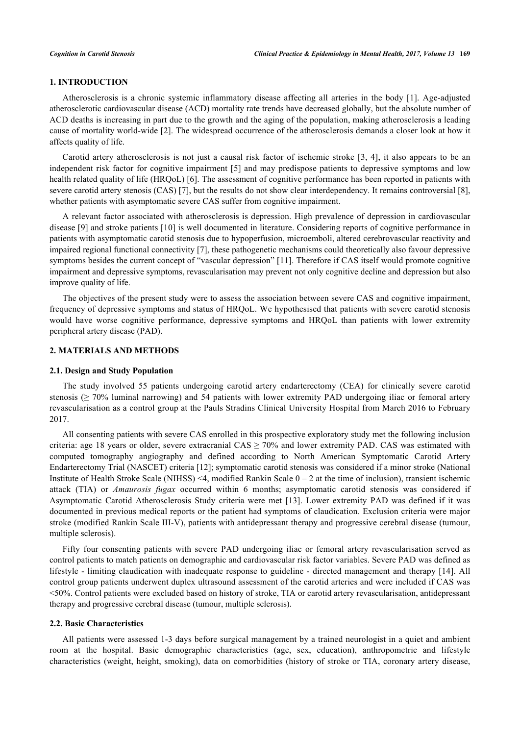#### **1. INTRODUCTION**

Atherosclerosis is a chronic systemic inflammatory disease affecting all arteries in the body [\[1](#page-9-0)]. Age-adjusted atherosclerotic cardiovascular disease (ACD) mortality rate trends have decreased globally, but the absolute number of ACD deaths is increasing in part due to the growth and the aging of the population, making atherosclerosis a leading cause of mortality world-wide [\[2](#page-9-1)]. The widespread occurrence of the atherosclerosis demands a closer look at how it affects quality of life.

Carotid artery atherosclerosis is not just a causal risk factor of ischemic stroke [[3](#page-9-2), [4\]](#page-9-3), it also appears to be an independent risk factor for cognitive impairment [[5\]](#page-9-4) and may predispose patients to depressive symptoms and low health related quality of life (HRQoL) [\[6](#page-9-5)]. The assessment of cognitive performance has been reported in patients with severe carotid artery stenosis (CAS) [\[7](#page-9-6)], but the results do not show clear interdependency. It remains controversial [[8\]](#page-9-7), whether patients with asymptomatic severe CAS suffer from cognitive impairment.

A relevant factor associated with atherosclerosis is depression. High prevalence of depression in cardiovascular disease [\[9\]](#page-9-8) and stroke patients [\[10\]](#page-9-9) is well documented in literature. Considering reports of cognitive performance in patients with asymptomatic carotid stenosis due to hypoperfusion, microemboli, altered cerebrovascular reactivity and impaired regional functional connectivity [[7\]](#page-9-6), these pathogenetic mechanisms could theoretically also favour depressive symptoms besides the current concept of "vascular depression" [[11\]](#page-9-10). Therefore if CAS itself would promote cognitive impairment and depressive symptoms, revascularisation may prevent not only cognitive decline and depression but also improve quality of life.

The objectives of the present study were to assess the association between severe CAS and cognitive impairment, frequency of depressive symptoms and status of HRQoL. We hypothesised that patients with severe carotid stenosis would have worse cognitive performance, depressive symptoms and HRQoL than patients with lower extremity peripheral artery disease (PAD).

#### **2. MATERIALS AND METHODS**

#### **2.1. Design and Study Population**

The study involved 55 patients undergoing carotid artery endarterectomy (CEA) for clinically severe carotid stenosis (≥ 70% luminal narrowing) and 54 patients with lower extremity PAD undergoing iliac or femoral artery revascularisation as a control group at the Pauls Stradins Clinical University Hospital from March 2016 to February 2017.

All consenting patients with severe CAS enrolled in this prospective exploratory study met the following inclusion criteria: age 18 years or older, severe extracranial  $CAS \ge 70\%$  and lower extremity PAD. CAS was estimated with computed tomography angiography and defined according to North American Symptomatic Carotid Artery Endarterectomy Trial (NASCET) criteria [\[12](#page-9-11)]; symptomatic carotid stenosis was considered if a minor stroke (National Institute of Health Stroke Scale (NIHSS) <4, modified Rankin Scale  $0 - 2$  at the time of inclusion), transient ischemic attack (TIA) or *Amaurosis fugax* occurred within 6 months; asymptomatic carotid stenosis was considered if Asymptomatic Carotid Atherosclerosis Study criteria were met [\[13\]](#page-9-12). Lower extremity PAD was defined if it was documented in previous medical reports or the patient had symptoms of claudication. Exclusion criteria were major stroke (modified Rankin Scale III-V), patients with antidepressant therapy and progressive cerebral disease (tumour, multiple sclerosis).

Fifty four consenting patients with severe PAD undergoing iliac or femoral artery revascularisation served as control patients to match patients on demographic and cardiovascular risk factor variables. Severe PAD was defined as lifestyle - limiting claudication with inadequate response to guideline - directed management and therapy [[14](#page-9-13)]. All control group patients underwent duplex ultrasound assessment of the carotid arteries and were included if CAS was <50%. Control patients were excluded based on history of stroke, TIA or carotid artery revascularisation, antidepressant therapy and progressive cerebral disease (tumour, multiple sclerosis).

#### **2.2. Basic Characteristics**

All patients were assessed 1-3 days before surgical management by a trained neurologist in a quiet and ambient room at the hospital. Basic demographic characteristics (age, sex, education), anthropometric and lifestyle characteristics (weight, height, smoking), data on comorbidities (history of stroke or TIA, coronary artery disease,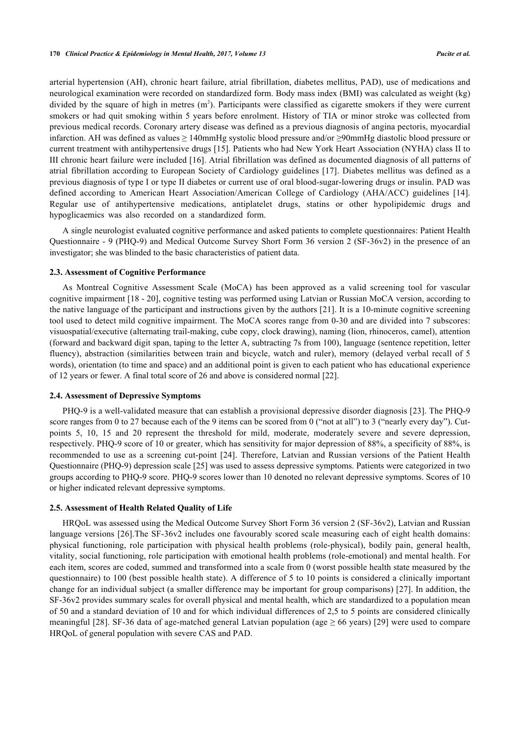arterial hypertension (AH), chronic heart failure, atrial fibrillation, diabetes mellitus, PAD), use of medications and neurological examination were recorded on standardized form. Body mass index (BMI) was calculated as weight (kg) divided by the square of high in metres  $(m^2)$ . Participants were classified as cigarette smokers if they were current smokers or had quit smoking within 5 years before enrolment. History of TIA or minor stroke was collected from previous medical records. Coronary artery disease was defined as a previous diagnosis of angina pectoris, myocardial infarction. AH was defined as values ≥ 140mmHg systolic blood pressure and/or ≥90mmHg diastolic blood pressure or current treatment with antihypertensive drugs [\[15](#page-9-14)]. Patients who had New York Heart Association (NYHA) class II to III chronic heart failure were included [\[16](#page-10-0)]. Atrial fibrillation was defined as documented diagnosis of all patterns of atrial fibrillation according to European Society of Cardiology guidelines [\[17\]](#page-10-1). Diabetes mellitus was defined as a previous diagnosis of type I or type II diabetes or current use of oral blood-sugar-lowering drugs or insulin. PAD was defined according to American Heart Association/American College of Cardiology (AHA/ACC) guidelines [\[14\]](#page-9-13). Regular use of antihypertensive medications, antiplatelet drugs, statins or other hypolipidemic drugs and hypoglicaemics was also recorded on a standardized form.

A single neurologist evaluated cognitive performance and asked patients to complete questionnaires: Patient Health Questionnaire - 9 (PHQ-9) and Medical Outcome Survey Short Form 36 version 2 (SF-36v2) in the presence of an investigator; she was blinded to the basic characteristics of patient data.

#### **2.3. Assessment of Cognitive Performance**

As Montreal Cognitive Assessment Scale (MoCA) has been approved as a valid screening tool for vascular cognitive impairment [\[18](#page-10-2) - [20](#page-10-3)], cognitive testing was performed using Latvian or Russian MoCA version, according to the native language of the participant and instructions given by the authors [[21\]](#page-10-4). It is a 10-minute cognitive screening tool used to detect mild cognitive impairment. The MoCA scores range from 0-30 and are divided into 7 subscores: visuospatial/executive (alternating trail-making, cube copy, clock drawing), naming (lion, rhinoceros, camel), attention (forward and backward digit span, taping to the letter A, subtracting 7s from 100), language (sentence repetition, letter fluency), abstraction (similarities between train and bicycle, watch and ruler), memory (delayed verbal recall of 5 words), orientation (to time and space) and an additional point is given to each patient who has educational experience of 12 years or fewer. A final total score of 26 and above is considered normal [\[22](#page-10-5)].

#### **2.4. Assessment of Depressive Symptoms**

PHQ-9 is a well-validated measure that can establish a provisional depressive disorder diagnosis [[23\]](#page-10-6). The PHQ-9 score ranges from 0 to 27 because each of the 9 items can be scored from 0 ("not at all") to 3 ("nearly every day"). Cutpoints 5, 10, 15 and 20 represent the threshold for mild, moderate, moderately severe and severe depression, respectively. PHQ-9 score of 10 or greater, which has sensitivity for major depression of 88%, a specificity of 88%, is recommended to use as a screening cut-point [[24\]](#page-10-7). Therefore, Latvian and Russian versions of the Patient Health Questionnaire (PHQ-9) depression scale [[25\]](#page-10-8) was used to assess depressive symptoms. Patients were categorized in two groups according to PHQ-9 score. PHQ-9 scores lower than 10 denoted no relevant depressive symptoms. Scores of 10 or higher indicated relevant depressive symptoms.

#### **2.5. Assessment of Health Related Quality of Life**

HRQoL was assessed using the Medical Outcome Survey Short Form 36 version 2 (SF-36v2), Latvian and Russian language versions [[26](#page-10-9)].The SF-36v2 includes one favourably scored scale measuring each of eight health domains: physical functioning, role participation with physical health problems (role-physical), bodily pain, general health, vitality, social functioning, role participation with emotional health problems (role-emotional) and mental health. For each item, scores are coded, summed and transformed into a scale from 0 (worst possible health state measured by the questionnaire) to 100 (best possible health state). A difference of 5 to 10 points is considered a clinically important change for an individual subject (a smaller difference may be important for group comparisons) [[27](#page-10-10)]. In addition, the SF-36v2 provides summary scales for overall physical and mental health, which are standardized to a population mean of 50 and a standard deviation of 10 and for which individual differences of 2,5 to 5 points are considered clinically meaningful [[28\]](#page-10-11). SF-36 data of age-matched general Latvian population (age  $\geq$  66 years) [\[29\]](#page-10-12) were used to compare HRQoL of general population with severe CAS and PAD.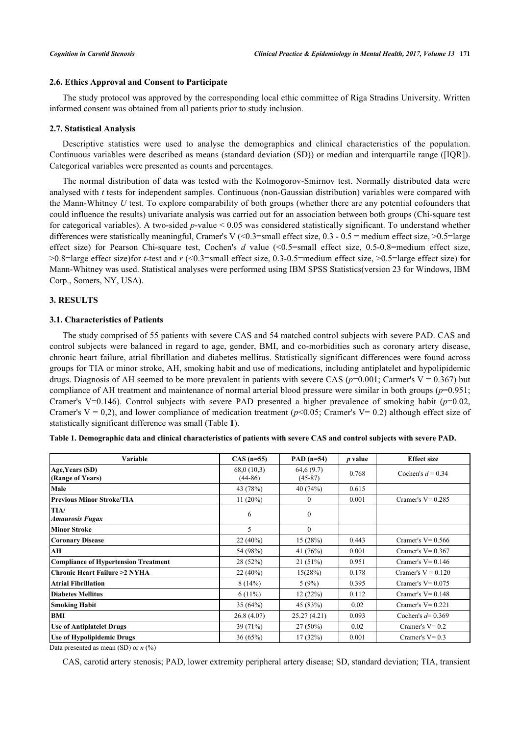#### **2.6. Ethics Approval and Consent to Participate**

The study protocol was approved by the corresponding local ethic committee of Riga Stradins University. Written informed consent was obtained from all patients prior to study inclusion.

#### **2.7. Statistical Analysis**

Descriptive statistics were used to analyse the demographics and clinical characteristics of the population. Continuous variables were described as means (standard deviation (SD)) or median and interquartile range ([IQR]). Categorical variables were presented as counts and percentages.

The normal distribution of data was tested with the Kolmogorov-Smirnov test. Normally distributed data were analysed with *t* tests for independent samples. Continuous (non-Gaussian distribution) variables were compared with the Mann-Whitney *U* test. To explore comparability of both groups (whether there are any potential cofounders that could influence the results) univariate analysis was carried out for an association between both groups (Chi-square test for categorical variables). A two-sided *p*-value < 0.05 was considered statistically significant. To understand whether differences were statistically meaningful, Cramer's V  $\langle 0.3$ =small effect size, 0.3 - 0.5 = medium effect size, >0.5 = large effect size) for Pearson Chi-square test, Cochen's *d* value (<0.5=small effect size, 0.5-0.8=medium effect size, >0.8=large effect size)for *t*-test and *r* (<0.3=small effect size, 0.3-0.5=medium effect size, >0.5=large effect size) for Mann-Whitney was used. Statistical analyses were performed using IBM SPSS Statistics(version 23 for Windows, IBM Corp., Somers, NY, USA).

#### **3. RESULTS**

#### **3.1. Characteristics of Patients**

The study comprised of 55 patients with severe CAS and 54 matched control subjects with severe PAD. CAS and control subjects were balanced in regard to age, gender, BMI, and co-morbidities such as coronary artery disease, chronic heart failure, atrial fibrillation and diabetes mellitus. Statistically significant differences were found across groups for TIA or minor stroke, AH, smoking habit and use of medications, including antiplatelet and hypolipidemic drugs. Diagnosis of AH seemed to be more prevalent in patients with severe CAS ( $p=0.001$ ; Carmer's V = 0.367) but compliance of AH treatment and maintenance of normal arterial blood pressure were similar in both groups  $(p=0.951;$ Cramer's V=0.146). Control subjects with severe PAD presented a higher prevalence of smoking habit (*p*=0.02, Cramer's  $V = 0.2$ ), and lower compliance of medication treatment ( $p \le 0.05$ ; Cramer's  $V = 0.2$ ) although effect size of statistically significant difference was small (Table **[1](#page-3-0)**).

| Variable                                    | $CAS (n=55)$            | PAD $(n=54)$           | <i>p</i> value | <b>Effect size</b>   |
|---------------------------------------------|-------------------------|------------------------|----------------|----------------------|
| Age, Years (SD)<br>(Range of Years)         | 68,0(10,3)<br>$(44-86)$ | 64,6(9.7)<br>$(45-87)$ | 0.768          | Cochen's $d = 0.34$  |
| Male                                        | 43 (78%)                | 40(74%)                | 0.615          |                      |
| <b>Previous Minor Stroke/TIA</b>            | 11(20%)                 | $\overline{0}$         | 0.001          | Cramer's $V = 0.285$ |
| TIA/<br>Amaurosis Fugax                     | 6                       | $\mathbf{0}$           |                |                      |
| Minor Stroke                                | 5                       | $\mathbf{0}$           |                |                      |
| <b>Coronary Disease</b>                     | 22(40%)                 | 15(28%)                | 0.443          | Cramer's $V = 0.566$ |
| AH                                          | 54 (98%)                | 41 $(76%)$             | 0.001          | Cramer's $V = 0.367$ |
| <b>Compliance of Hypertension Treatment</b> | 28(52%)                 | 21(51%)                | 0.951          | Cramer's $V = 0.146$ |
| Chronic Heart Failure >2 NYHA               | 22(40%)                 | 15(28%)                | 0.178          | Cramer's $V = 0.120$ |
| <b>Atrial Fibrillation</b>                  | 8(14%)                  | 5(9%)                  | 0.395          | Cramer's $V = 0.075$ |
| Diabetes Mellitus                           | $6(11\%)$               | 12(22%)                | 0.112          | Cramer's $V = 0.148$ |
| <b>Smoking Habit</b>                        | 35(64%)                 | 45 (83%)               | 0.02           | Cramer's $V = 0.221$ |
| <b>BMI</b>                                  | 26.8(4.07)              | 25.27 (4.21)           | 0.093          | Cochen's $d=0.369$   |
| <b>Use of Antiplatelet Drugs</b>            | 39(71%)                 | $27(50\%)$             | 0.02           | Cramer's $V = 0.2$   |
| <b>Use of Hypolipidemic Drugs</b>           | 36(65%)                 | 17 (32%)               | 0.001          | Cramer's $V = 0.3$   |

<span id="page-3-0"></span>

|  | Table 1. Demographic data and clinical characteristics of patients with severe CAS and control subjects with severe PAD. |
|--|--------------------------------------------------------------------------------------------------------------------------|
|  |                                                                                                                          |

Data presented as mean (SD) or *n* (%)

CAS, carotid artery stenosis; PAD, lower extremity peripheral artery disease; SD, standard deviation; TIA, transient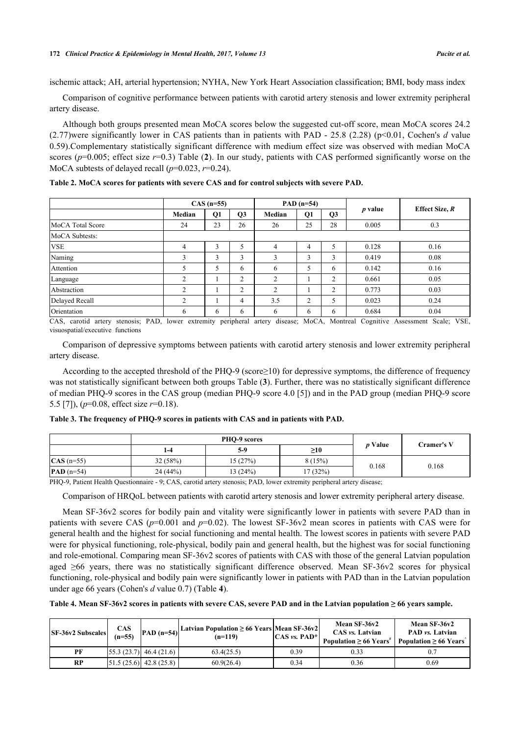ischemic attack; AH, arterial hypertension; NYHA, New York Heart Association classification; BMI, body mass index

Comparison of cognitive performance between patients with carotid artery stenosis and lower extremity peripheral artery disease.

Although both groups presented mean MoCA scores below the suggested cut-off score, mean MoCA scores 24.2 (2.77)were significantly lower in CAS patients than in patients with PAD - 25.8 (2.28) (p<0.01, Cochen's *d* value 0.59).Complementary statistically significant difference with medium effect size was observed with median MoCA scores (*p*=0.005; effect size *r*=0.3) Table (**[2](#page-4-0)**). In our study, patients with CAS performed significantly worse on the MoCA subtests of delayed recall  $(p=0.023, r=0.24)$ .

|                  | $CAS (n=55)$   |    |                | PAD $(n=54)$   |    |                |           |                |
|------------------|----------------|----|----------------|----------------|----|----------------|-----------|----------------|
|                  | Median         | Q1 | Q <sub>3</sub> | Median         | Q1 | Q <sub>3</sub> | $p$ value | Effect Size, R |
| MoCA Total Score | 24             | 23 | 26             | 26             | 25 | 28             | 0.005     | 0.3            |
| MoCA Subtests:   |                |    |                |                |    |                |           |                |
| <b>VSE</b>       | 4              | 3  | 5              | $\overline{4}$ | 4  | 5              | 0.128     | 0.16           |
| Naming           | 3              | 3  | 3              | 3              | 3  | 3              | 0.419     | 0.08           |
| Attention        | 5              | 5  | 6              | 6              | 5  | 6              | 0.142     | 0.16           |
| Language         | $\overline{2}$ |    | $\overline{c}$ | $\overline{2}$ |    | $\overline{2}$ | 0.661     | 0.05           |
| Abstraction      | $\overline{2}$ |    | $\overline{2}$ | 2              |    | $\overline{2}$ | 0.773     | 0.03           |
| Delayed Recall   | $\mathcal{L}$  |    | 4              | 3.5            | 2  | 5              | 0.023     | 0.24           |
| Orientation      | 6              | 6  | 6              | 6              | 6  | 6              | 0.684     | 0.04           |

<span id="page-4-0"></span>**Table 2. MoCA scores for patients with severe CAS and for control subjects with severe PAD.**

CAS, carotid artery stenosis; PAD, lower extremity peripheral artery disease; MoCA, Montreal Cognitive Assessment Scale; VSE, visuospatial/executive functions

Comparison of depressive symptoms between patients with carotid artery stenosis and lower extremity peripheral artery disease.

According to the accepted threshold of the PHQ-9 (score≥10) for depressive symptoms, the difference of frequency was not statistically significant between both groups Table (**[3](#page-4-1)**). Further, there was no statistically significant difference of median PHQ-9 scores in the CAS group (median PHQ-9 score 4.0 [[5\]](#page-9-4)) and in the PAD group (median PHQ-9 score 5.5 [\[7](#page-9-6)]), (*p*=0.08, effect size *r*=0.18).

<span id="page-4-1"></span>

|                     |         | PHO-9 scores | <i>p</i> Value | Cramer's V |       |
|---------------------|---------|--------------|----------------|------------|-------|
|                     | 1-4     | $5-9$        | $\geq 10$      |            |       |
| $\text{CAS}$ (n=55) | 32(58%) | 15(27%)      | 8(15%)         | 0.168      | 0.168 |
| $PAD$ ( $n=54$ )    | 24(44%) | 13(24%)      | 17 (32%)       |            |       |

PHQ-9, Patient Health Questionnaire - 9; CAS, carotid artery stenosis; PAD, lower extremity peripheral artery disease;

Comparison of HRQoL between patients with carotid artery stenosis and lower extremity peripheral artery disease.

Mean SF-36v2 scores for bodily pain and vitality were significantly lower in patients with severe PAD than in patients with severe CAS ( $p=0.001$  and  $p=0.02$ ). The lowest SF-36v2 mean scores in patients with CAS were for general health and the highest for social functioning and mental health. The lowest scores in patients with severe PAD were for physical functioning, role-physical, bodily pain and general health, but the highest was for social functioning and role-emotional. Comparing mean SF-36v2 scores of patients with CAS with those of the general Latvian population aged ≥66 years, there was no statistically significant difference observed. Mean SF-36v2 scores for physical functioning, role-physical and bodily pain were significantly lower in patients with PAD than in the Latvian population under age 66 years (Cohen's *d* value 0.7) (Table **[4](#page-4-2)**).

<span id="page-4-2"></span>**Table 4. Mean SF-36v2 scores in patients with severe CAS, severe PAD and in the Latvian population ≥ 66 years sample.**

| <b>SF-36v2 Subscales</b> | <b>CAS</b><br>$(n=55)$ | PAD $(n=54)$                          | Latvian Population $\geq 66$ Years   Mean SF-36v2  <br>$(n=119)$ | $ CAS\, vs. \, PAD^* $ | Mean SF-36v2<br>CAS vs. Latvian<br>Population $\geq 66$ Years <sup>#</sup> | Mean SF-36v2<br>PAD vs. Latvian<br>Population $\geq 66$ Years |
|--------------------------|------------------------|---------------------------------------|------------------------------------------------------------------|------------------------|----------------------------------------------------------------------------|---------------------------------------------------------------|
| PF                       |                        | $\left[55.3(23.7)\right]$ 46.4 (21.6) | 63.4(25.5)                                                       | 0.39                   | 0.33                                                                       | 0.7                                                           |
| RP                       |                        | $\left[51.5(25.6)\right]$ 42.8 (25.8) | 60.9(26.4)                                                       | 0.34                   | 0.36                                                                       | 0.69                                                          |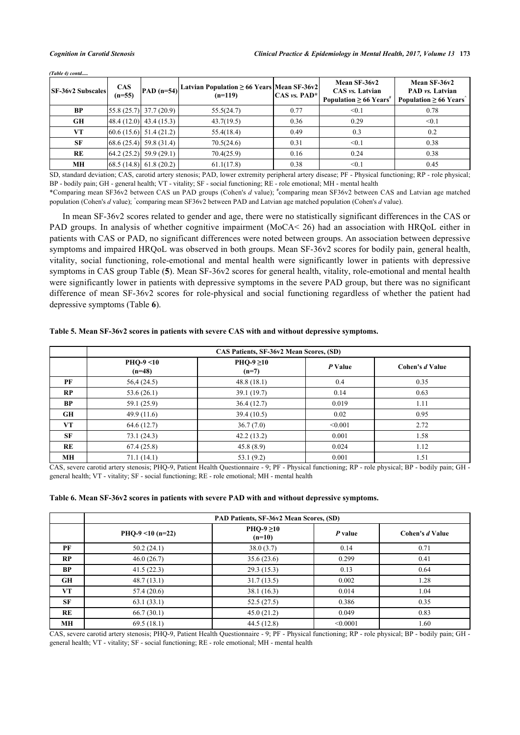| <b>SF-36v2 Subscales</b> | <b>CAS</b><br>$(n=55)$ |                                     | $\left  \text{PAD (n=54)} \right $ Latvian Population $\geq 66$ Years Mean SF-36v2<br>$(n=119)$ | $ CAS\,vs.$ PAD <sup>*</sup> | Mean SF-36v2<br>CAS vs. Latvian<br>Population $\geq 66$ Years <sup>*</sup> | Mean SF-36v2<br>PAD vs. Latvian<br>Population $\geq 66$ Years |
|--------------------------|------------------------|-------------------------------------|-------------------------------------------------------------------------------------------------|------------------------------|----------------------------------------------------------------------------|---------------------------------------------------------------|
| <b>BP</b>                |                        | $\left[55.8(25.7)\right]37.7(20.9)$ | 55.5(24.7)                                                                                      | 0.77                         | < 0.1                                                                      | 0.78                                                          |
| GH                       |                        | $[48.4 (12.0)]$ 43.4 (15.3)         | 43.7(19.5)                                                                                      | 0.36                         | 0.29                                                                       | < 0.1                                                         |
| VT                       |                        | $[60.6(15.6)]$ 51.4 (21.2)          | 55.4(18.4)                                                                                      | 0.49                         | 0.3                                                                        | 0.2                                                           |
| <b>SF</b>                |                        | $[68.6 (25.4) \ 59.8 (31.4)]$       | 70.5(24.6)                                                                                      | 0.31                         | $\leq 0.1$                                                                 | 0.38                                                          |
| RE                       |                        | $[64.2 (25.2)]$ 59.9 (29.1)         | 70.4(25.9)                                                                                      | 0.16                         | 0.24                                                                       | 0.38                                                          |
| МH                       |                        | (68.5 (14.8) 61.8 (20.2)            | 61.1(17.8)                                                                                      | 0.38                         | $\leq 0.1$                                                                 | 0.45                                                          |

*(Table 4) contd.....*

SD, standard deviation; CAS, carotid artery stenosis; PAD, lower extremity peripheral artery disease; PF - Physical functioning; RP - role physical; BP - bodily pain; GH - general health; VT - vitality; SF - social functioning; RE - role emotional; MH - mental health

\*Comparing mean SF36v2 between CAS un PAD groups (Cohen's *d* value); **#** comparing mean SF36v2 between CAS and Latvian age matched population (Cohen's *d* value); **^** comparing mean SF36v2 between PAD and Latvian age matched population (Cohen's *d* value).

In mean SF-36v2 scores related to gender and age, there were no statistically significant differences in the CAS or PAD groups. In analysis of whether cognitive impairment (MoCA< 26) had an association with HRQoL either in patients with CAS or PAD, no significant differences were noted between groups. An association between depressive symptoms and impaired HRQoL was observed in both groups. Mean SF-36v2 scores for bodily pain, general health, vitality, social functioning, role-emotional and mental health were significantly lower in patients with depressive symptoms in CAS group Table (**[5](#page-5-0)**). Mean SF-36v2 scores for general health, vitality, role-emotional and mental health were significantly lower in patients with depressive symptoms in the severe PAD group, but there was no significant difference of mean SF-36v2 scores for role-physical and social functioning regardless of whether the patient had depressive symptoms (Table **[6](#page-5-1)**).

|           | CAS Patients, SF-36v2 Mean Scores, (SD) |                            |         |                 |  |  |
|-----------|-----------------------------------------|----------------------------|---------|-----------------|--|--|
|           | $PHO-9 < 10$<br>$(n=48)$                | $PHO-9 \geq 10$<br>$(n=7)$ | P Value | Cohen's d Value |  |  |
| PF        | 56,4 (24.5)                             | 48.8(18.1)                 | 0.4     | 0.35            |  |  |
| RP        | 53.6(26.1)                              | 39.1(19.7)                 | 0.14    | 0.63            |  |  |
| <b>BP</b> | 59.1 (25.9)                             | 36.4(12.7)                 | 0.019   | 1.11            |  |  |
| <b>GH</b> | 49.9(11.6)                              | 39.4(10.5)                 | 0.02    | 0.95            |  |  |
| VT        | 64.6(12.7)                              | 36.7(7.0)                  | < 0.001 | 2.72            |  |  |
| <b>SF</b> | 73.1(24.3)                              | 42.2(13.2)                 | 0.001   | 1.58            |  |  |
| RE        | 67.4(25.8)                              | 45.8(8.9)                  | 0.024   | 1.12            |  |  |
| <b>MH</b> | 71.1(14.1)                              | 53.1(9.2)                  | 0.001   | 1.51            |  |  |

<span id="page-5-0"></span>**Table 5. Mean SF-36v2 scores in patients with severe CAS with and without depressive symptoms.**

CAS, severe carotid artery stenosis; PHQ-9, Patient Health Questionnaire - 9; PF - Physical functioning; RP - role physical; BP - bodily pain; GH general health; VT - vitality; SF - social functioning; RE - role emotional; MH - mental health

#### <span id="page-5-1"></span>**Table 6. Mean SF-36v2 scores in patients with severe PAD with and without depressive symptoms.**

|           |                  | PAD Patients, SF-36v2 Mean Scores, (SD) |          |                 |
|-----------|------------------|-----------------------------------------|----------|-----------------|
|           | PHQ-9 <10 (n=22) | $PHO-9 \geq 10$<br>$(n=10)$             | P value  | Cohen's d Value |
| PF        | 50.2(24.1)       | 38.0(3.7)                               | 0.14     | 0.71            |
| RP        | 46.0(26.7)       | 35.6(23.6)                              | 0.299    | 0.41            |
| <b>BP</b> | 41.5(22.3)       | 29.3(15.3)                              | 0.13     | 0.64            |
| <b>GH</b> | 48.7(13.1)       | 31.7(13.5)                              | 0.002    | 1.28            |
| VT        | 57.4(20.6)       | 38.1(16.3)                              | 0.014    | 1.04            |
| <b>SF</b> | 63.1(33.1)       | 52.5(27.5)                              | 0.386    | 0.35            |
| RE        | 66.7(30.1)       | 45.0(21.2)                              | 0.049    | 0.83            |
| MH        | 69.5(18.1)       | 44.5(12.8)                              | < 0.0001 | 1.60            |

CAS, severe carotid artery stenosis; PHQ-9, Patient Health Questionnaire - 9; PF - Physical functioning; RP - role physical; BP - bodily pain; GH general health; VT - vitality; SF - social functioning; RE - role emotional; MH - mental health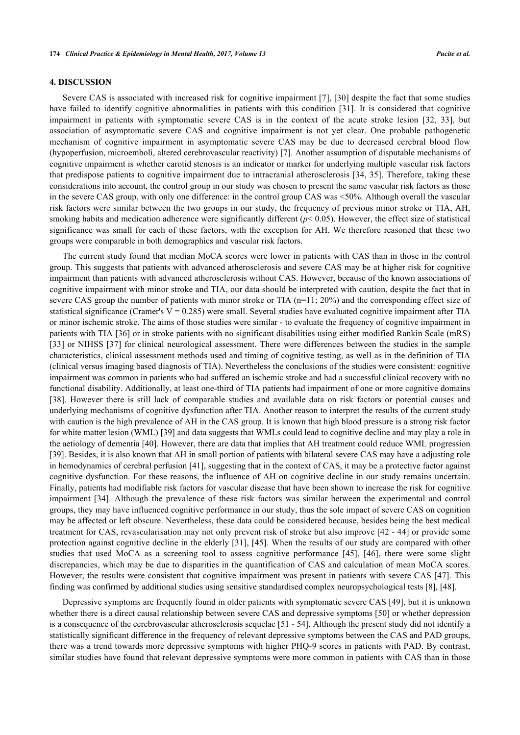#### **4. DISCUSSION**

Severe CAS is associated with increased risk for cognitive impairment [[7\]](#page-9-6), [[30](#page-10-13)] despite the fact that some studies have failed to identify cognitive abnormalities in patients with this condition[[31\]](#page-10-14). It is considered that cognitive impairment in patients with symptomatic severe CAS is in the context of the acute stroke lesion [\[32,](#page-10-15) [33\]](#page-10-16), but association of asymptomatic severe CAS and cognitive impairment is not yet clear. One probable pathogenetic mechanism of cognitive impairment in asymptomatic severe CAS may be due to decreased cerebral blood flow (hypoperfusion, microemboli, altered cerebrovascular reactivity) [\[7\]](#page-9-6). Another assumption of disputable mechanisms of cognitive impairment is whether carotid stenosis is an indicator or marker for underlying multiple vascular risk factors that predispose patients to cognitive impairment due to intracranial atherosclerosis [\[34](#page-10-17), [35](#page-10-18)]. Therefore, taking these considerations into account, the control group in our study was chosen to present the same vascular risk factors as those in the severe CAS group, with only one difference: in the control group CAS was <50%. Although overall the vascular risk factors were similar between the two groups in our study, the frequency of previous minor stroke or TIA, AH, smoking habits and medication adherence were significantly different  $(p< 0.05)$ . However, the effect size of statistical significance was small for each of these factors, with the exception for AH. We therefore reasoned that these two groups were comparable in both demographics and vascular risk factors.

The current study found that median MoCA scores were lower in patients with CAS than in those in the control group. This suggests that patients with advanced atherosclerosis and severe CAS may be at higher risk for cognitive impairment than patients with advanced atherosclerosis without CAS. However, because of the known associations of cognitive impairment with minor stroke and TIA, our data should be interpreted with caution, despite the fact that in severe CAS group the number of patients with minor stroke or TIA (n=11; 20%) and the corresponding effect size of statistical significance (Cramer's  $V = 0.285$ ) were small. Several studies have evaluated cognitive impairment after TIA or minor ischemic stroke. The aims of those studies were similar - to evaluate the frequency of cognitive impairment in patients with TIA [\[36\]](#page-10-19) or in stroke patients with no significant disabilities using either modified Rankin Scale (mRS) [\[33](#page-10-16)] or NIHSS [\[37\]](#page-11-0) for clinical neurological assessment. There were differences between the studies in the sample characteristics, clinical assessment methods used and timing of cognitive testing, as well as in the definition of TIA (clinical versus imaging based diagnosis of TIA). Nevertheless the conclusions of the studies were consistent: cognitive impairment was common in patients who had suffered an ischemic stroke and had a successful clinical recovery with no functional disability. Additionally, at least one-third of TIA patients had impairment of one or more cognitive domains [\[38](#page-11-1)]. However there is still lack of comparable studies and available data on risk factors or potential causes and underlying mechanisms of cognitive dysfunction after TIA. Another reason to interpret the results of the current study with caution is the high prevalence of AH in the CAS group. It is known that high blood pressure is a strong risk factor for white matter lesion (WML) [\[39](#page-11-2)] and data suggests that WMLs could lead to cognitive decline and may play a role in the aetiology of dementia [[40\]](#page-11-3). However, there are data that implies that AH treatment could reduce WML progression [\[39](#page-11-2)]. Besides, it is also known that AH in small portion of patients with bilateral severe CAS may have a adjusting role in hemodynamics of cerebral perfusion [[41](#page-11-4)], suggesting that in the context of CAS, it may be a protective factor against cognitive dysfunction. For these reasons, the influence of AH on cognitive decline in our study remains uncertain. Finally, patients had modifiable risk factors for vascular disease that have been shown to increase the risk for cognitive impairment [\[34](#page-10-17)]. Although the prevalence of these risk factors was similar between the experimental and control groups, they may have influenced cognitive performance in our study, thus the sole impact of severe CAS on cognition may be affected or left obscure. Nevertheless, these data could be considered because, besides being the best medical treatment for CAS, revascularisation may not only prevent risk of stroke but also improve [[42](#page-11-5) - [44](#page-11-6)] or provide some protection against cognitive decline in the elderly [[31](#page-10-14)], [[45\]](#page-11-7). When the results of our study are compared with other studies that used MoCA as a screening tool to assess cognitive performance[[45\]](#page-11-7),[[46](#page-11-8)], there were some slight discrepancies, which may be due to disparities in the quantification of CAS and calculation of mean MoCA scores. However, the results were consistent that cognitive impairment was present in patients with severe CAS [[47](#page-11-9)]. This finding was confirmed by additional studies using sensitive standardised complex neuropsychological tests [[8\]](#page-9-7), [\[48](#page-11-10)].

Depressive symptoms are frequently found in older patients with symptomatic severe CAS [[49\]](#page-11-11), but it is unknown whether there is a direct causal relationship between severe CAS and depressive symptoms [[50](#page-11-12)] or whether depression is a consequence of the cerebrovascular atherosclerosis sequelae [\[51](#page-11-13) - [54\]](#page-11-14). Although the present study did not identify a statistically significant difference in the frequency of relevant depressive symptoms between the CAS and PAD groups, there was a trend towards more depressive symptoms with higher PHQ-9 scores in patients with PAD. By contrast, similar studies have found that relevant depressive symptoms were more common in patients with CAS than in those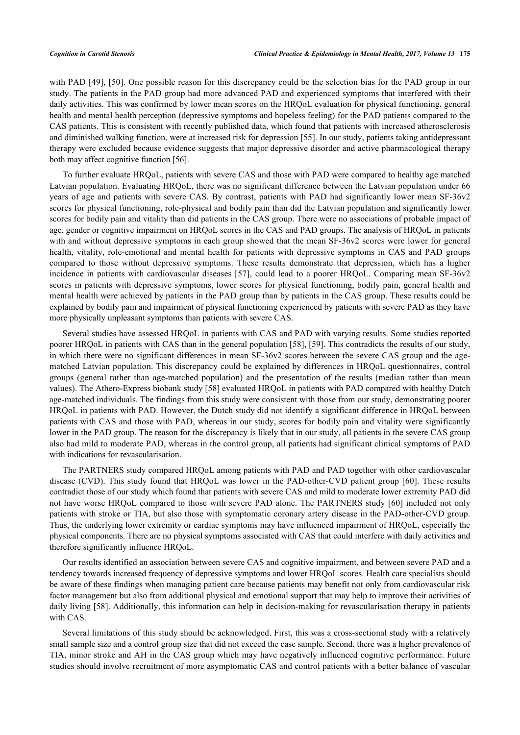with PAD [[49](#page-11-11)], [[50\]](#page-11-12). One possible reason for this discrepancy could be the selection bias for the PAD group in our study. The patients in the PAD group had more advanced PAD and experienced symptoms that interfered with their daily activities. This was confirmed by lower mean scores on the HRQoL evaluation for physical functioning, general health and mental health perception (depressive symptoms and hopeless feeling) for the PAD patients compared to the CAS patients. This is consistent with recently published data, which found that patients with increased atherosclerosis and diminished walking function, were at increased risk for depression [[55\]](#page-11-15). In our study, patients taking antidepressant therapy were excluded because evidence suggests that major depressive disorder and active pharmacological therapy both may affect cognitive function [[56\]](#page-12-0).

To further evaluate HRQoL, patients with severe CAS and those with PAD were compared to healthy age matched Latvian population. Evaluating HRQoL, there was no significant difference between the Latvian population under 66 years of age and patients with severe CAS. By contrast, patients with PAD had significantly lower mean SF-36v2 scores for physical functioning, role-physical and bodily pain than did the Latvian population and significantly lower scores for bodily pain and vitality than did patients in the CAS group. There were no associations of probable impact of age, gender or cognitive impairment on HRQoL scores in the CAS and PAD groups. The analysis of HRQoL in patients with and without depressive symptoms in each group showed that the mean SF-36v2 scores were lower for general health, vitality, role-emotional and mental health for patients with depressive symptoms in CAS and PAD groups compared to those without depressive symptoms. These results demonstrate that depression, which has a higher incidence in patients with cardiovascular diseases [\[57\]](#page-12-1), could lead to a poorer HRQoL. Comparing mean SF-36v2 scores in patients with depressive symptoms, lower scores for physical functioning, bodily pain, general health and mental health were achieved by patients in the PAD group than by patients in the CAS group. These results could be explained by bodily pain and impairment of physical functioning experienced by patients with severe PAD as they have more physically unpleasant symptoms than patients with severe CAS.

Several studies have assessed HRQoL in patients with CAS and PAD with varying results. Some studies reported poorer HRQoL in patients with CAS than in the general population [[58](#page-12-2)], [[59](#page-12-3)]. This contradicts the results of our study, in which there were no significant differences in mean SF-36v2 scores between the severe CAS group and the agematched Latvian population. This discrepancy could be explained by differences in HRQoL questionnaires, control groups (general rather than age-matched population) and the presentation of the results (median rather than mean values). The Athero-Express biobank study [\[58](#page-12-2)] evaluated HRQoL in patients with PAD compared with healthy Dutch age-matched individuals. The findings from this study were consistent with those from our study, demonstrating poorer HRQoL in patients with PAD. However, the Dutch study did not identify a significant difference in HRQoL between patients with CAS and those with PAD, whereas in our study, scores for bodily pain and vitality were significantly lower in the PAD group. The reason for the discrepancy is likely that in our study, all patients in the severe CAS group also had mild to moderate PAD, whereas in the control group, all patients had significant clinical symptoms of PAD with indications for revascularisation.

The PARTNERS study compared HRQoL among patients with PAD and PAD together with other cardiovascular disease (CVD). This study found that HRQoL was lower in the PAD-other-CVD patient group [[60](#page-12-4)]. These results contradict those of our study which found that patients with severe CAS and mild to moderate lower extremity PAD did not have worse HRQoL compared to those with severe PAD alone. The PARTNERS study [[60](#page-12-4)] included not only patients with stroke or TIA, but also those with symptomatic coronary artery disease in the PAD-other-CVD group. Thus, the underlying lower extremity or cardiac symptoms may have influenced impairment of HRQoL, especially the physical components. There are no physical symptoms associated with CAS that could interfere with daily activities and therefore significantly influence HRQoL.

Our results identified an association between severe CAS and cognitive impairment, and between severe PAD and a tendency towards increased frequency of depressive symptoms and lower HRQoL scores. Health care specialists should be aware of these findings when managing patient care because patients may benefit not only from cardiovascular risk factor management but also from additional physical and emotional support that may help to improve their activities of daily living [\[58\]](#page-12-2). Additionally, this information can help in decision-making for revascularisation therapy in patients with CAS.

Several limitations of this study should be acknowledged. First, this was a cross-sectional study with a relatively small sample size and a control group size that did not exceed the case sample. Second, there was a higher prevalence of TIA, minor stroke and AH in the CAS group which may have negatively influenced cognitive performance. Future studies should involve recruitment of more asymptomatic CAS and control patients with a better balance of vascular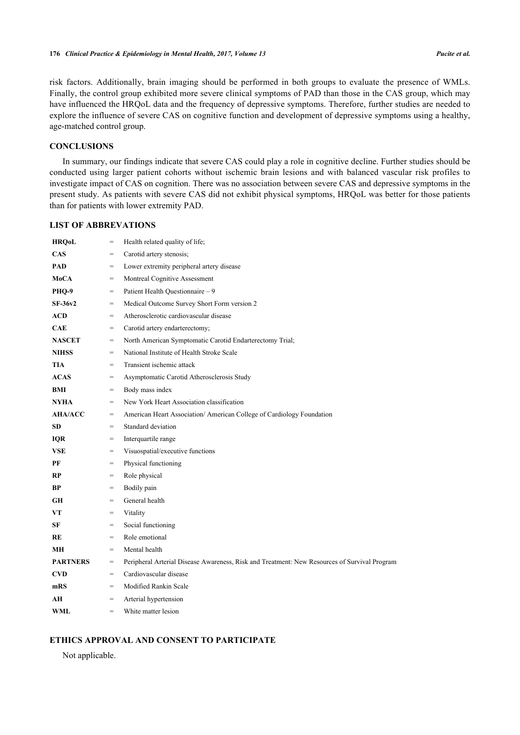risk factors. Additionally, brain imaging should be performed in both groups to evaluate the presence of WMLs. Finally, the control group exhibited more severe clinical symptoms of PAD than those in the CAS group, which may have influenced the HRQoL data and the frequency of depressive symptoms. Therefore, further studies are needed to explore the influence of severe CAS on cognitive function and development of depressive symptoms using a healthy, age-matched control group.

#### **CONCLUSIONS**

In summary, our findings indicate that severe CAS could play a role in cognitive decline. Further studies should be conducted using larger patient cohorts without ischemic brain lesions and with balanced vascular risk profiles to investigate impact of CAS on cognition. There was no association between severe CAS and depressive symptoms in the present study. As patients with severe CAS did not exhibit physical symptoms, HRQoL was better for those patients than for patients with lower extremity PAD.

# **LIST OF ABBREVATIONS**

| <b>HRQoL</b>    | $=$               | Health related quality of life;                                                              |
|-----------------|-------------------|----------------------------------------------------------------------------------------------|
| <b>CAS</b>      | $=$               | Carotid artery stenosis;                                                                     |
| <b>PAD</b>      | $=$               | Lower extremity peripheral artery disease                                                    |
| MoCA            | $=$               | Montreal Cognitive Assessment                                                                |
| PHQ-9           | $=$               | Patient Health Questionnaire - 9                                                             |
| $SF-36v2$       | $=$               | Medical Outcome Survey Short Form version 2                                                  |
| <b>ACD</b>      | $\qquad \qquad =$ | Atherosclerotic cardiovascular disease                                                       |
| <b>CAE</b>      | $\qquad \qquad =$ | Carotid artery endarterectomy;                                                               |
| <b>NASCET</b>   | $=$               | North American Symptomatic Carotid Endarterectomy Trial;                                     |
| <b>NIHSS</b>    | $=$               | National Institute of Health Stroke Scale                                                    |
| <b>TIA</b>      | $=$               | Transient ischemic attack                                                                    |
| <b>ACAS</b>     | $=$               | Asymptomatic Carotid Atherosclerosis Study                                                   |
| BMI             | $=$               | Body mass index                                                                              |
| <b>NYHA</b>     | $\qquad \qquad =$ | New York Heart Association classification                                                    |
| <b>AHA/ACC</b>  | $=$               | American Heart Association/ American College of Cardiology Foundation                        |
| <b>SD</b>       | $=$               | Standard deviation                                                                           |
| <b>IQR</b>      | $=$               | Interquartile range                                                                          |
| <b>VSE</b>      | $=$               | Visuospatial/executive functions                                                             |
| РF              | $=$               | Physical functioning                                                                         |
| RP              | $=$               | Role physical                                                                                |
| <b>BP</b>       | $=$               | Bodily pain                                                                                  |
| GH              | $=$               | General health                                                                               |
| VT              | $=$               | Vitality                                                                                     |
| SF              | $=$               | Social functioning                                                                           |
| RE              | $=$               | Role emotional                                                                               |
| MН              | $=$               | Mental health                                                                                |
| <b>PARTNERS</b> | $=$               | Peripheral Arterial Disease Awareness, Risk and Treatment: New Resources of Survival Program |
| <b>CVD</b>      | $=$               | Cardiovascular disease                                                                       |
| mRS             | $=$               | Modified Rankin Scale                                                                        |
| AH              | $\qquad \qquad =$ | Arterial hypertension                                                                        |
| WML             | $=$               | White matter lesion                                                                          |

### **ETHICS APPROVAL AND CONSENT TO PARTICIPATE**

Not applicable.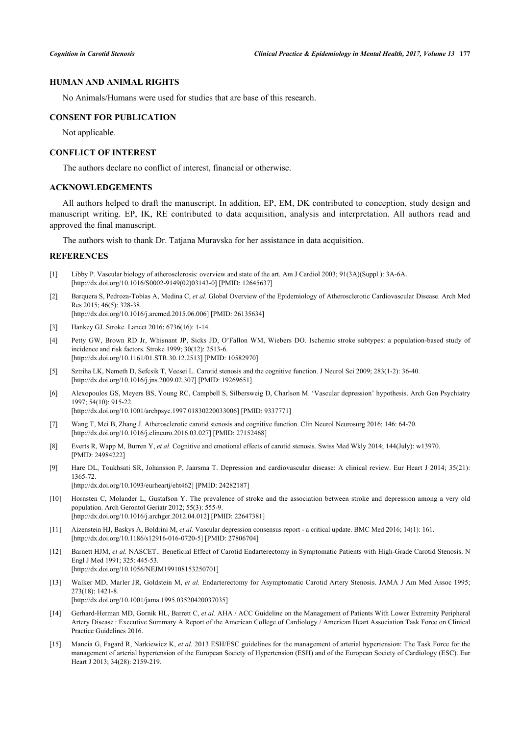### **HUMAN AND ANIMAL RIGHTS**

No Animals/Humans were used for studies that are base of this research.

#### **CONSENT FOR PUBLICATION**

Not applicable.

#### **CONFLICT OF INTEREST**

The authors declare no conflict of interest, financial or otherwise.

# **ACKNOWLEDGEMENTS**

All authors helped to draft the manuscript. In addition, EP, EM, DK contributed to conception, study design and manuscript writing. EP, IK, RE contributed to data acquisition, analysis and interpretation. All authors read and approved the final manuscript.

The authors wish to thank Dr. Tatjana Muravska for her assistance in data acquisition.

#### **REFERENCES**

- <span id="page-9-0"></span>[1] Libby P. Vascular biology of atherosclerosis: overview and state of the art. Am J Cardiol 2003; 91(3A)(Suppl.): 3A-6A. [\[http://dx.doi.org/10.1016/S0002-9149\(02\)03143-0\]](http://dx.doi.org/10.1016/S0002-9149(02)03143-0) [PMID: [12645637](http://www.ncbi.nlm.nih.gov/pubmed/12645637)]
- <span id="page-9-1"></span>[2] Barquera S, Pedroza-Tobías A, Medina C, *et al.* Global Overview of the Epidemiology of Atherosclerotic Cardiovascular Disease. Arch Med Res 2015; 46(5): 328-38.

[\[http://dx.doi.org/10.1016/j.arcmed.2015.06.006\]](http://dx.doi.org/10.1016/j.arcmed.2015.06.006) [PMID: [26135634](http://www.ncbi.nlm.nih.gov/pubmed/26135634)]

- <span id="page-9-2"></span>[3] Hankey GJ. Stroke. Lancet 2016; 6736(16): 1-14.
- <span id="page-9-3"></span>[4] Petty GW, Brown RD Jr, Whisnant JP, Sicks JD, O'Fallon WM, Wiebers DO. Ischemic stroke subtypes: a population-based study of incidence and risk factors. Stroke 1999; 30(12): 2513-6. [\[http://dx.doi.org/10.1161/01.STR.30.12.2513](http://dx.doi.org/10.1161/01.STR.30.12.2513)] [PMID: [10582970](http://www.ncbi.nlm.nih.gov/pubmed/10582970)]
- <span id="page-9-4"></span>[5] Sztriha LK, Nemeth D, Sefcsik T, Vecsei L. Carotid stenosis and the cognitive function. J Neurol Sci 2009; 283(1-2): 36-40. [\[http://dx.doi.org/10.1016/j.jns.2009.02.307](http://dx.doi.org/10.1016/j.jns.2009.02.307)] [PMID: [19269651\]](http://www.ncbi.nlm.nih.gov/pubmed/19269651)
- <span id="page-9-5"></span>[6] Alexopoulos GS, Meyers BS, Young RC, Campbell S, Silbersweig D, Charlson M. 'Vascular depression' hypothesis. Arch Gen Psychiatry 1997; 54(10): 915-22. [\[http://dx.doi.org/10.1001/archpsyc.1997.01830220033006](http://dx.doi.org/10.1001/archpsyc.1997.01830220033006)] [PMID: [9337771\]](http://www.ncbi.nlm.nih.gov/pubmed/9337771)

<span id="page-9-6"></span>[7] Wang T, Mei B, Zhang J. Atherosclerotic carotid stenosis and cognitive function. Clin Neurol Neurosurg 2016; 146: 64-70. [\[http://dx.doi.org/10.1016/j.clineuro.2016.03.027](http://dx.doi.org/10.1016/j.clineuro.2016.03.027)] [PMID: [27152468\]](http://www.ncbi.nlm.nih.gov/pubmed/27152468)

- <span id="page-9-7"></span>[8] Everts R, Wapp M, Burren Y, *et al.* Cognitive and emotional effects of carotid stenosis. Swiss Med Wkly 2014; 144(July): w13970. [PMID: [24984222\]](http://www.ncbi.nlm.nih.gov/pubmed/24984222)
- <span id="page-9-8"></span>[9] Hare DL, Toukhsati SR, Johansson P, Jaarsma T. Depression and cardiovascular disease: A clinical review. Eur Heart J 2014; 35(21): 1365-72. [\[http://dx.doi.org/10.1093/eurheartj/eht462](http://dx.doi.org/10.1093/eurheartj/eht462)] [PMID: [24282187\]](http://www.ncbi.nlm.nih.gov/pubmed/24282187)
- <span id="page-9-9"></span>[10] Hornsten C, Molander L, Gustafson Y. The prevalence of stroke and the association between stroke and depression among a very old population. Arch Gerontol Geriatr 2012; 55(3): 555-9. [\[http://dx.doi.org/10.1016/j.archger.2012.04.012](http://dx.doi.org/10.1016/j.archger.2012.04.012)] [PMID: [22647381\]](http://www.ncbi.nlm.nih.gov/pubmed/22647381)
- <span id="page-9-10"></span>[11] Aizenstein HJ, Baskys A, Boldrini M, *et al.* Vascular depression consensus report - a critical update. BMC Med 2016; 14(1): 161. [\[http://dx.doi.org/10.1186/s12916-016-0720-5\]](http://dx.doi.org/10.1186/s12916-016-0720-5) [PMID: [27806704](http://www.ncbi.nlm.nih.gov/pubmed/27806704)]
- <span id="page-9-11"></span>[12] Barnett HJM, *et al.* NASCET.. Beneficial Effect of Carotid Endarterectomy in Symptomatic Patients with High-Grade Carotid Stenosis. N Engl J Med 1991; 325: 445-53. [\[http://dx.doi.org/10.1056/NEJM199108153250701\]](http://dx.doi.org/10.1056/NEJM199108153250701)
- <span id="page-9-12"></span>[13] Walker MD, Marler JR, Goldstein M, *et al.* Endarterectomy for Asymptomatic Carotid Artery Stenosis. JAMA J Am Med Assoc 1995; 273(18): 1421-8. [\[http://dx.doi.org/10.1001/jama.1995.03520420037035](http://dx.doi.org/10.1001/jama.1995.03520420037035)]
- <span id="page-9-13"></span>[14] Gerhard-Herman MD, Gornik HL, Barrett C, *et al.* AHA / ACC Guideline on the Management of Patients With Lower Extremity Peripheral Artery Disease : Executive Summary A Report of the American College of Cardiology / American Heart Association Task Force on Clinical Practice Guidelines 2016.
- <span id="page-9-14"></span>[15] Mancia G, Fagard R, Narkiewicz K, *et al.* 2013 ESH/ESC guidelines for the management of arterial hypertension: The Task Force for the management of arterial hypertension of the European Society of Hypertension (ESH) and of the European Society of Cardiology (ESC). Eur Heart J 2013; 34(28): 2159-219.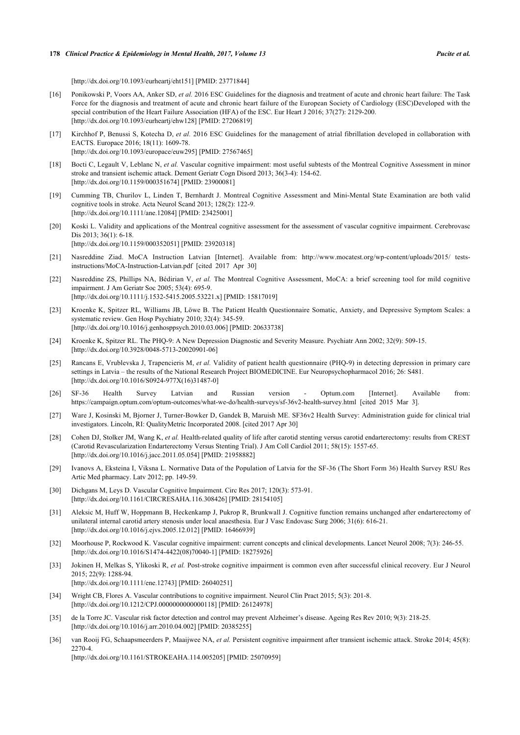#### **178** *Clinical Practice & Epidemiology in Mental Health, 2017, Volume 13 Pucite et al.*

[\[http://dx.doi.org/10.1093/eurheartj/eht151](http://dx.doi.org/10.1093/eurheartj/eht151)] [PMID: [23771844\]](http://www.ncbi.nlm.nih.gov/pubmed/23771844)

- <span id="page-10-0"></span>[16] Ponikowski P, Voors AA, Anker SD, *et al.* 2016 ESC Guidelines for the diagnosis and treatment of acute and chronic heart failure: The Task Force for the diagnosis and treatment of acute and chronic heart failure of the European Society of Cardiology (ESC)Developed with the special contribution of the Heart Failure Association (HFA) of the ESC. Eur Heart J 2016; 37(27): 2129-200. [\[http://dx.doi.org/10.1093/eurheartj/ehw128\]](http://dx.doi.org/10.1093/eurheartj/ehw128) [PMID: [27206819](http://www.ncbi.nlm.nih.gov/pubmed/27206819)]
- <span id="page-10-1"></span>[17] Kirchhof P, Benussi S, Kotecha D, *et al.* 2016 ESC Guidelines for the management of atrial fibrillation developed in collaboration with EACTS. Europace 2016; 18(11): 1609-78. [\[http://dx.doi.org/10.1093/europace/euw295](http://dx.doi.org/10.1093/europace/euw295)] [PMID: [27567465\]](http://www.ncbi.nlm.nih.gov/pubmed/27567465)
- <span id="page-10-2"></span>[18] Bocti C, Legault V, Leblanc N, *et al.* Vascular cognitive impairment: most useful subtests of the Montreal Cognitive Assessment in minor stroke and transient ischemic attack. Dement Geriatr Cogn Disord 2013; 36(3-4): 154-62. [\[http://dx.doi.org/10.1159/000351674\]](http://dx.doi.org/10.1159/000351674) [PMID: [23900081](http://www.ncbi.nlm.nih.gov/pubmed/23900081)]
- [19] Cumming TB, Churilov L, Linden T, Bernhardt J. Montreal Cognitive Assessment and Mini-Mental State Examination are both valid cognitive tools in stroke. Acta Neurol Scand 2013; 128(2): 122-9. [\[http://dx.doi.org/10.1111/ane.12084\]](http://dx.doi.org/10.1111/ane.12084) [PMID: [23425001](http://www.ncbi.nlm.nih.gov/pubmed/23425001)]
- <span id="page-10-3"></span>[20] Koski L. Validity and applications of the Montreal cognitive assessment for the assessment of vascular cognitive impairment. Cerebrovasc Dis 2013; 36(1): 6-18. [\[http://dx.doi.org/10.1159/000352051\]](http://dx.doi.org/10.1159/000352051) [PMID: [23920318](http://www.ncbi.nlm.nih.gov/pubmed/23920318)]
- <span id="page-10-4"></span>[21] Nasreddine Ziad. MoCA Instruction Latvian [Internet]. Available from: [http://www.mocatest.org/wp-content/uploads/2015/ tests](http://www.mocatest.org/wp-content/uploads/2015/tests-instructions/MoCA-Instruction-Latvian.pdf)[instructions/MoCA-Instruction-Latvian.pdf \[](http://www.mocatest.org/wp-content/uploads/2015/tests-instructions/MoCA-Instruction-Latvian.pdf)cited 2017 Apr 30]
- <span id="page-10-5"></span>[22] Nasreddine ZS, Phillips NA, Bédirian V, *et al.* The Montreal Cognitive Assessment, MoCA: a brief screening tool for mild cognitive impairment. J Am Geriatr Soc 2005; 53(4): 695-9. [\[http://dx.doi.org/10.1111/j.1532-5415.2005.53221.x\]](http://dx.doi.org/10.1111/j.1532-5415.2005.53221.x) [PMID: [15817019](http://www.ncbi.nlm.nih.gov/pubmed/15817019)]
- <span id="page-10-6"></span>[23] Kroenke K, Spitzer RL, Williams JB, Löwe B. The Patient Health Questionnaire Somatic, Anxiety, and Depressive Symptom Scales: a systematic review. Gen Hosp Psychiatry 2010; 32(4): 345-59. [\[http://dx.doi.org/10.1016/j.genhosppsych.2010.03.006](http://dx.doi.org/10.1016/j.genhosppsych.2010.03.006)] [PMID: [20633738\]](http://www.ncbi.nlm.nih.gov/pubmed/20633738)
- <span id="page-10-7"></span>[24] Kroenke K, Spitzer RL. The PHQ-9: A New Depression Diagnostic and Severity Measure. Psychiatr Ann 2002; 32(9): 509-15. [\[http://dx.doi.org/10.3928/0048-5713-20020901-06\]](http://dx.doi.org/10.3928/0048-5713-20020901-06)
- <span id="page-10-8"></span>[25] Rancans E, Vrublevska J, Trapencieris M, *et al.* Validity of patient health questionnaire (PHQ-9) in detecting depression in primary care settings in Latvia – the results of the National Research Project BIOMEDICINE. Eur Neuropsychopharmacol 2016; 26: S481. [\[http://dx.doi.org/10.1016/S0924-977X\(16\)31487-0\]](http://dx.doi.org/10.1016/S0924-977X(16)31487-0)
- <span id="page-10-9"></span>[26] SF-36 Health Survey Latvian and Russian version - Optum.com [Internet]. Available from: <https://campaign.optum.com/optum-outcomes/what-we-do/health-surveys/sf-36v2-health-survey.html> [cited 2015 Mar 3].
- <span id="page-10-10"></span>[27] Ware J, Kosinski M, Bjorner J, Turner-Bowker D, Gandek B, Maruish ME. SF36v2 Health Survey: Administration guide for clinical trial investigators. Lincoln, RI: QualityMetric Incorporated 2008. [cited 2017 Apr 30]
- <span id="page-10-11"></span>[28] Cohen DJ, Stolker JM, Wang K, et al. Health-related quality of life after carotid stenting versus carotid endarterectomy: results from CREST (Carotid Revascularization Endarterectomy Versus Stenting Trial). J Am Coll Cardiol 2011; 58(15): 1557-65. [\[http://dx.doi.org/10.1016/j.jacc.2011.05.054\]](http://dx.doi.org/10.1016/j.jacc.2011.05.054) [PMID: [21958882](http://www.ncbi.nlm.nih.gov/pubmed/21958882)]
- <span id="page-10-12"></span>[29] Ivanovs A, Eksteina I, Viksna L. Normative Data of the Population of Latvia for the SF-36 (The Short Form 36) Health Survey RSU Res Artic Med pharmacy. Latv 2012; pp. 149-59.
- <span id="page-10-13"></span>[30] Dichgans M, Leys D. Vascular Cognitive Impairment. Circ Res 2017; 120(3): 573-91. [\[http://dx.doi.org/10.1161/CIRCRESAHA.116.308426](http://dx.doi.org/10.1161/CIRCRESAHA.116.308426)] [PMID: [28154105](http://www.ncbi.nlm.nih.gov/pubmed/28154105)]
- <span id="page-10-14"></span>[31] Aleksic M, Huff W, Hoppmann B, Heckenkamp J, Pukrop R, Brunkwall J. Cognitive function remains unchanged after endarterectomy of unilateral internal carotid artery stenosis under local anaesthesia. Eur J Vasc Endovasc Surg 2006; 31(6): 616-21. [\[http://dx.doi.org/10.1016/j.ejvs.2005.12.012\]](http://dx.doi.org/10.1016/j.ejvs.2005.12.012) [PMID: [16466939](http://www.ncbi.nlm.nih.gov/pubmed/16466939)]
- <span id="page-10-15"></span>[32] Moorhouse P, Rockwood K. Vascular cognitive impairment: current concepts and clinical developments. Lancet Neurol 2008; 7(3): 246-55. [\[http://dx.doi.org/10.1016/S1474-4422\(08\)70040-1\]](http://dx.doi.org/10.1016/S1474-4422(08)70040-1) [PMID: [18275926](http://www.ncbi.nlm.nih.gov/pubmed/18275926)]
- <span id="page-10-16"></span>[33] Jokinen H, Melkas S, Ylikoski R, *et al.* Post-stroke cognitive impairment is common even after successful clinical recovery. Eur J Neurol 2015; 22(9): 1288-94.
	- [\[http://dx.doi.org/10.1111/ene.12743\]](http://dx.doi.org/10.1111/ene.12743) [PMID: [26040251](http://www.ncbi.nlm.nih.gov/pubmed/26040251)]
- <span id="page-10-17"></span>[34] Wright CB, Flores A. Vascular contributions to cognitive impairment. Neurol Clin Pract 2015; 5(3): 201-8. [\[http://dx.doi.org/10.1212/CPJ.0000000000000118\]](http://dx.doi.org/10.1212/CPJ.0000000000000118) [PMID: [26124978](http://www.ncbi.nlm.nih.gov/pubmed/26124978)]
- <span id="page-10-18"></span>[35] de la Torre JC. Vascular risk factor detection and control may prevent Alzheimer's disease. Ageing Res Rev 2010; 9(3): 218-25. [\[http://dx.doi.org/10.1016/j.arr.2010.04.002\]](http://dx.doi.org/10.1016/j.arr.2010.04.002) [PMID: [20385255](http://www.ncbi.nlm.nih.gov/pubmed/20385255)]
- <span id="page-10-19"></span>[36] van Rooij FG, Schaapsmeerders P, Maaijwee NA, *et al.* Persistent cognitive impairment after transient ischemic attack. Stroke 2014; 45(8): 2270-4.

[\[http://dx.doi.org/10.1161/STROKEAHA.114.005205](http://dx.doi.org/10.1161/STROKEAHA.114.005205)] [PMID: [25070959\]](http://www.ncbi.nlm.nih.gov/pubmed/25070959)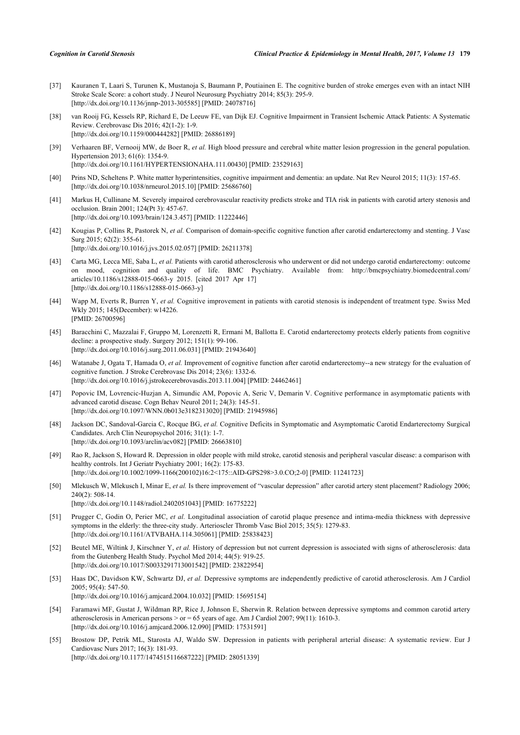- <span id="page-11-0"></span>[37] Kauranen T, Laari S, Turunen K, Mustanoja S, Baumann P, Poutiainen E. The cognitive burden of stroke emerges even with an intact NIH Stroke Scale Score: a cohort study. J Neurol Neurosurg Psychiatry 2014; 85(3): 295-9. [\[http://dx.doi.org/10.1136/jnnp-2013-305585](http://dx.doi.org/10.1136/jnnp-2013-305585)] [PMID: [24078716\]](http://www.ncbi.nlm.nih.gov/pubmed/24078716)
- <span id="page-11-1"></span>[38] van Rooij FG, Kessels RP, Richard E, De Leeuw FE, van Dijk EJ. Cognitive Impairment in Transient Ischemic Attack Patients: A Systematic Review. Cerebrovasc Dis 2016; 42(1-2): 1-9. [\[http://dx.doi.org/10.1159/000444282\]](http://dx.doi.org/10.1159/000444282) [PMID: [26886189](http://www.ncbi.nlm.nih.gov/pubmed/26886189)]
- <span id="page-11-2"></span>[39] Verhaaren BF, Vernooij MW, de Boer R, *et al.* High blood pressure and cerebral white matter lesion progression in the general population. Hypertension 2013; 61(6): 1354-9. [\[http://dx.doi.org/10.1161/HYPERTENSIONAHA.111.00430\]](http://dx.doi.org/10.1161/HYPERTENSIONAHA.111.00430) [PMID: [23529163](http://www.ncbi.nlm.nih.gov/pubmed/23529163)]
- <span id="page-11-3"></span>[40] Prins ND, Scheltens P. White matter hyperintensities, cognitive impairment and dementia: an update. Nat Rev Neurol 2015; 11(3): 157-65. [\[http://dx.doi.org/10.1038/nrneurol.2015.10\]](http://dx.doi.org/10.1038/nrneurol.2015.10) [PMID: [25686760](http://www.ncbi.nlm.nih.gov/pubmed/25686760)]
- <span id="page-11-4"></span>[41] Markus H, Cullinane M. Severely impaired cerebrovascular reactivity predicts stroke and TIA risk in patients with carotid artery stenosis and occlusion. Brain 2001; 124(Pt 3): 457-67. [\[http://dx.doi.org/10.1093/brain/124.3.457](http://dx.doi.org/10.1093/brain/124.3.457)] [PMID: [11222446](http://www.ncbi.nlm.nih.gov/pubmed/11222446)]
- <span id="page-11-5"></span>[42] Kougias P, Collins R, Pastorek N, *et al.* Comparison of domain-specific cognitive function after carotid endarterectomy and stenting. J Vasc Surg 2015; 62(2): 355-61. [\[http://dx.doi.org/10.1016/j.jvs.2015.02.057](http://dx.doi.org/10.1016/j.jvs.2015.02.057)] [PMID: [26211378\]](http://www.ncbi.nlm.nih.gov/pubmed/26211378)
- [43] Carta MG, Lecca ME, Saba L, *et al.* Patients with carotid atherosclerosis who underwent or did not undergo carotid endarterectomy: outcome on mood, cognition and quality of life. BMC Psychiatry. Available from: [http://bmcpsychiatry.biomedcentral.com/](http://bmcpsychiatry.biomedcentral.com/articles/10.1186/s12888-015-0663-y) [articles/10.1186/s12888-015-0663-y](http://bmcpsychiatry.biomedcentral.com/articles/10.1186/s12888-015-0663-y) 2015. [cited 2017 Apr 17] [\[http://dx.doi.org/10.1186/s12888-015-0663-y\]](http://dx.doi.org/10.1186/s12888-015-0663-y)
- <span id="page-11-6"></span>[44] Wapp M, Everts R, Burren Y, *et al.* Cognitive improvement in patients with carotid stenosis is independent of treatment type. Swiss Med Wkly 2015; 145(December): w14226. [PMID: [26700596\]](http://www.ncbi.nlm.nih.gov/pubmed/26700596)
- <span id="page-11-7"></span>[45] Baracchini C, Mazzalai F, Gruppo M, Lorenzetti R, Ermani M, Ballotta E. Carotid endarterectomy protects elderly patients from cognitive decline: a prospective study. Surgery 2012; 151(1): 99-106. [\[http://dx.doi.org/10.1016/j.surg.2011.06.031\]](http://dx.doi.org/10.1016/j.surg.2011.06.031) [PMID: [21943640](http://www.ncbi.nlm.nih.gov/pubmed/21943640)]
- <span id="page-11-8"></span>[46] Watanabe J, Ogata T, Hamada O, *et al.* Improvement of cognitive function after carotid endarterectomy--a new strategy for the evaluation of cognitive function. J Stroke Cerebrovasc Dis 2014; 23(6): 1332-6. [\[http://dx.doi.org/10.1016/j.jstrokecerebrovasdis.2013.11.004\]](http://dx.doi.org/10.1016/j.jstrokecerebrovasdis.2013.11.004) [PMID: [24462461](http://www.ncbi.nlm.nih.gov/pubmed/24462461)]
- <span id="page-11-9"></span>[47] Popovic IM, Lovrencic-Huzjan A, Simundic AM, Popovic A, Seric V, Demarin V. Cognitive performance in asymptomatic patients with advanced carotid disease. Cogn Behav Neurol 2011; 24(3): 145-51. [\[http://dx.doi.org/10.1097/WNN.0b013e3182313020](http://dx.doi.org/10.1097/WNN.0b013e3182313020)] [PMID: [21945986](http://www.ncbi.nlm.nih.gov/pubmed/21945986)]
- <span id="page-11-10"></span>[48] Jackson DC, Sandoval-Garcia C, Rocque BG, *et al.* Cognitive Deficits in Symptomatic and Asymptomatic Carotid Endarterectomy Surgical Candidates. Arch Clin Neuropsychol 2016; 31(1): 1-7. [\[http://dx.doi.org/10.1093/arclin/acv082](http://dx.doi.org/10.1093/arclin/acv082)] [PMID: [26663810\]](http://www.ncbi.nlm.nih.gov/pubmed/26663810)
- <span id="page-11-11"></span>[49] Rao R, Jackson S, Howard R. Depression in older people with mild stroke, carotid stenosis and peripheral vascular disease: a comparison with healthy controls. Int J Geriatr Psychiatry 2001; 16(2): 175-83. [\[http://dx.doi.org/10.1002/1099-1166\(200102\)16:2<175::AID-GPS298>3.0.CO;2-0](http://dx.doi.org/10.1002/1099-1166(200102)16:2<175::AID-GPS298>3.0.CO;2-0)] [PMID: [11241723\]](http://www.ncbi.nlm.nih.gov/pubmed/11241723)
- <span id="page-11-12"></span>[50] Mlekusch W, Mlekusch I, Minar E, *et al.* Is there improvement of "vascular depression" after carotid artery stent placement? Radiology 2006; 240(2): 508-14. [\[http://dx.doi.org/10.1148/radiol.2402051043](http://dx.doi.org/10.1148/radiol.2402051043)] [PMID: [16775222](http://www.ncbi.nlm.nih.gov/pubmed/16775222)]
- <span id="page-11-13"></span>[51] Prugger C, Godin O, Perier MC, *et al.* Longitudinal association of carotid plaque presence and intima-media thickness with depressive symptoms in the elderly: the three-city study. Arterioscler Thromb Vasc Biol 2015; 35(5): 1279-83. [\[http://dx.doi.org/10.1161/ATVBAHA.114.305061\]](http://dx.doi.org/10.1161/ATVBAHA.114.305061) [PMID: [25838423](http://www.ncbi.nlm.nih.gov/pubmed/25838423)]
- [52] Beutel ME, Wiltink J, Kirschner Y, et al. History of depression but not current depression is associated with signs of atherosclerosis: data from the Gutenberg Health Study. Psychol Med 2014; 44(5): 919-25. [\[http://dx.doi.org/10.1017/S0033291713001542](http://dx.doi.org/10.1017/S0033291713001542)] [PMID: [23822954\]](http://www.ncbi.nlm.nih.gov/pubmed/23822954)
- [53] Haas DC, Davidson KW, Schwartz DJ, *et al.* Depressive symptoms are independently predictive of carotid atherosclerosis. Am J Cardiol 2005; 95(4): 547-50.

[\[http://dx.doi.org/10.1016/j.amjcard.2004.10.032\]](http://dx.doi.org/10.1016/j.amjcard.2004.10.032) [PMID: [15695154](http://www.ncbi.nlm.nih.gov/pubmed/15695154)]

- <span id="page-11-14"></span>[54] Faramawi MF, Gustat J, Wildman RP, Rice J, Johnson E, Sherwin R. Relation between depressive symptoms and common carotid artery atherosclerosis in American persons  $>$  or = 65 years of age. Am J Cardiol 2007; 99(11): 1610-3. [\[http://dx.doi.org/10.1016/j.amjcard.2006.12.090\]](http://dx.doi.org/10.1016/j.amjcard.2006.12.090) [PMID: [17531591](http://www.ncbi.nlm.nih.gov/pubmed/17531591)]
- <span id="page-11-15"></span>[55] Brostow DP, Petrik ML, Starosta AJ, Waldo SW. Depression in patients with peripheral arterial disease: A systematic review. Eur J Cardiovasc Nurs 2017; 16(3): 181-93. [\[http://dx.doi.org/10.1177/1474515116687222\]](http://dx.doi.org/10.1177/1474515116687222) [PMID: [28051339](http://www.ncbi.nlm.nih.gov/pubmed/28051339)]